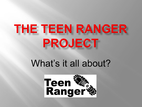# THE TEEN RANGER PROJECT

# What's it all about?

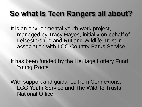## So what is Teen Rangers all about?

It is an environmental youth work project, managed by Tracy Hayes, initially on behalf of Leicestershire and Rutland Wildlife Trust in association with LCC Country Parks Service

It has been funded by the Heritage Lottery Fund Young Roots

With support and guidance from Connexions, LCC Youth Service and The Wildlife Trusts' National Office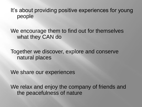It's about providing positive experiences for young people

We encourage them to find out for themselves what they CAN do

Together we discover, explore and conserve natural places

We share our experiences

We relax and enjoy the company of friends and the peacefulness of nature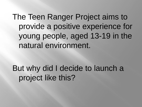The Teen Ranger Project aims to provide a positive experience for young people, aged 13-19 in the natural environment.

But why did I decide to launch a project like this?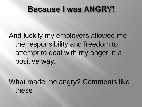## **Because I was ANGRY!**

And luckily my employers allowed me the responsibility and freedom to attempt to deal with my anger in a positive way.

What made me angry? Comments like these -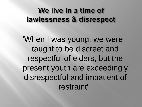## We live in a time of lawlessness & disrespect

"When I was young, we were taught to be discreet and respectful of elders, but the present youth are exceedingly disrespectful and impatient of restraint".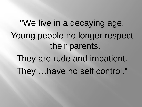"We live in a decaying age. Young people no longer respect their parents. They are rude and impatient. They …have no self control."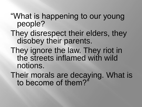#### "What is happening to our young people?

- They disrespect their elders, they disobey their parents.
- They ignore the law. They riot in the streets inflamed with wild notions.
- Their morals are decaying. What is to become of them?"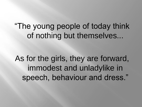"The young people of today think of nothing but themselves...

As for the girls, they are forward, immodest and unladylike in speech, behaviour and dress."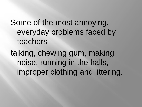Some of the most annoying, everyday problems faced by teachers -

talking, chewing gum, making noise, running in the halls, improper clothing and littering.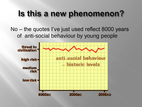## Is this a new phenomenon?

#### No – the quotes I've just used reflect 8000 years of anti-social behaviour by young people

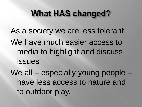## **What HAS changed?**

As a society we are less tolerant We have much easier access to media to highlight and discuss issues

We all – especially young people – have less access to nature and to outdoor play.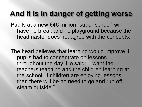#### And it is in danger of getting worse

Pupils at a new £46 million "super school" will have no break and no playground because the headmaster does not agree with the concepts.

The head believes that learning would improve if pupils had to concentrate on lessons throughout the day. He said: "I want the teachers teaching and the children learning at the school. If children are enjoying lessons, then there will be no need to go and run off steam outside."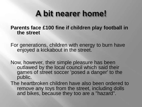## A bit nearer home!

**Parents face £100 fine if children play football in the street**

For generations, children with energy to burn have enjoyed a kickabout in the street.

Now, however, their simple pleasure has been outlawed by the local council which said their games of street soccer 'posed a danger' to the public.

The heartbroken children have also been ordered to remove any toys from the street, including dolls and bikes, because they too are a "hazard".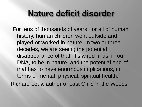## Nature deficit disorder

"For tens of thousands of years, for all of human history, human children went outside and played or worked in nature. In two or three decades, we are seeing the potential disappearance of that. It's wired in us, in our DNA, to be in nature, and the potential end of that has to have enormous implications, in terms of mental, physical, spiritual health." Richard Louv, author of Last Child in the Woods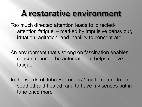## A restorative environment

Too much directed attention leads to 'directedattention fatigue' – marked by impulsive behaviour, irritation, agitation, and inability to concentrate

An environment that's strong on fascination enables concentration to be automatic – it helps relieve fatigue

In the words of John Borroughs "I go to nature to be soothed and healed, and to have my senses put in tune once more"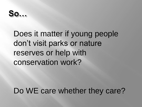$So...$ 

## Does it matter if young people don't visit parks or nature reserves or help with conservation work?

Do WE care whether they care?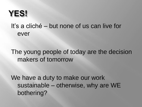## YES!

#### It's a cliché – but none of us can live for ever

#### The young people of today are the decision makers of tomorrow

We have a duty to make our work sustainable – otherwise, why are WE bothering?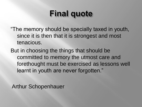# **Final quote**

"The memory should be specially taxed in youth, since it is then that it is strongest and most tenacious.

But in choosing the things that should be committed to memory the utmost care and forethought must be exercised as lessons well learnt in youth are never forgotten."

Arthur Schopenhauer